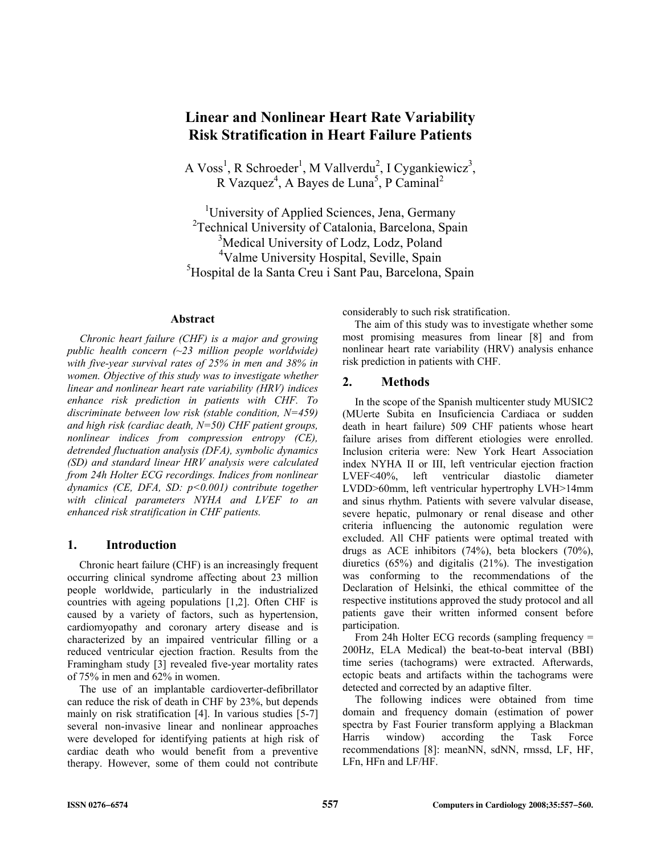# **Linear and Nonlinear Heart Rate Variability Risk Stratification in Heart Failure Patients**

A Voss<sup>1</sup>, R Schroeder<sup>1</sup>, M Vallverdu<sup>2</sup>, I Cygankiewicz<sup>3</sup>,  $R$  Vazquez<sup>4</sup>, A Bayes de Luna<sup>5</sup>, P Caminal<sup>2</sup>

<sup>1</sup>University of Applied Sciences, Jena, Germany <sup>2</sup>Technical University of Catalonia, Barcelona, Spain <sup>3</sup>Medical University of Lodz, Lodz, Poland <sup>4</sup>Valme University Hospital, Seville, Spain <sup>5</sup>Hospital de la Santa Creu i Sant Pau, Barcelona, Spain

# **Abstract**

*Chronic heart failure (CHF) is a major and growing public health concern (~23 million people worldwide) with five-year survival rates of 25% in men and 38% in women. Objective of this study was to investigate whether linear and nonlinear heart rate variability (HRV) indices enhance risk prediction in patients with CHF. To discriminate between low risk (stable condition, N=459) and high risk (cardiac death, N=50) CHF patient groups, nonlinear indices from compression entropy (CE), detrended fluctuation analysis (DFA), symbolic dynamics (SD) and standard linear HRV analysis were calculated from 24h Holter ECG recordings. Indices from nonlinear dynamics (CE, DFA, SD: p<0.001) contribute together with clinical parameters NYHA and LVEF to an enhanced risk stratification in CHF patients.* 

### **1. Introduction**

Chronic heart failure (CHF) is an increasingly frequent occurring clinical syndrome affecting about 23 million people worldwide, particularly in the industrialized countries with ageing populations [1,2]. Often CHF is caused by a variety of factors, such as hypertension, cardiomyopathy and coronary artery disease and is characterized by an impaired ventricular filling or a reduced ventricular ejection fraction. Results from the Framingham study [3] revealed five-year mortality rates of 75% in men and 62% in women.

The use of an implantable cardioverter-defibrillator can reduce the risk of death in CHF by 23%, but depends mainly on risk stratification [4]. In various studies [5-7] several non-invasive linear and nonlinear approaches were developed for identifying patients at high risk of cardiac death who would benefit from a preventive therapy. However, some of them could not contribute considerably to such risk stratification.

The aim of this study was to investigate whether some most promising measures from linear [8] and from nonlinear heart rate variability (HRV) analysis enhance risk prediction in patients with CHF.

## **2. Methods**

In the scope of the Spanish multicenter study MUSIC2 (MUerte Subita en Insuficiencia Cardiaca or sudden death in heart failure) 509 CHF patients whose heart failure arises from different etiologies were enrolled. Inclusion criteria were: New York Heart Association index NYHA II or III, left ventricular ejection fraction LVEF<40%, left ventricular diastolic diameter LVDD>60mm, left ventricular hypertrophy LVH>14mm and sinus rhythm. Patients with severe valvular disease, severe hepatic, pulmonary or renal disease and other criteria influencing the autonomic regulation were excluded. All CHF patients were optimal treated with drugs as ACE inhibitors (74%), beta blockers (70%), diuretics (65%) and digitalis (21%). The investigation was conforming to the recommendations of the Declaration of Helsinki, the ethical committee of the respective institutions approved the study protocol and all patients gave their written informed consent before participation.

From 24h Holter ECG records (sampling frequency = 200Hz, ELA Medical) the beat-to-beat interval (BBI) time series (tachograms) were extracted. Afterwards, ectopic beats and artifacts within the tachograms were detected and corrected by an adaptive filter.

The following indices were obtained from time domain and frequency domain (estimation of power spectra by Fast Fourier transform applying a Blackman Harris window) according the Task Force recommendations [8]: meanNN, sdNN, rmssd, LF, HF, LFn, HFn and LF/HF.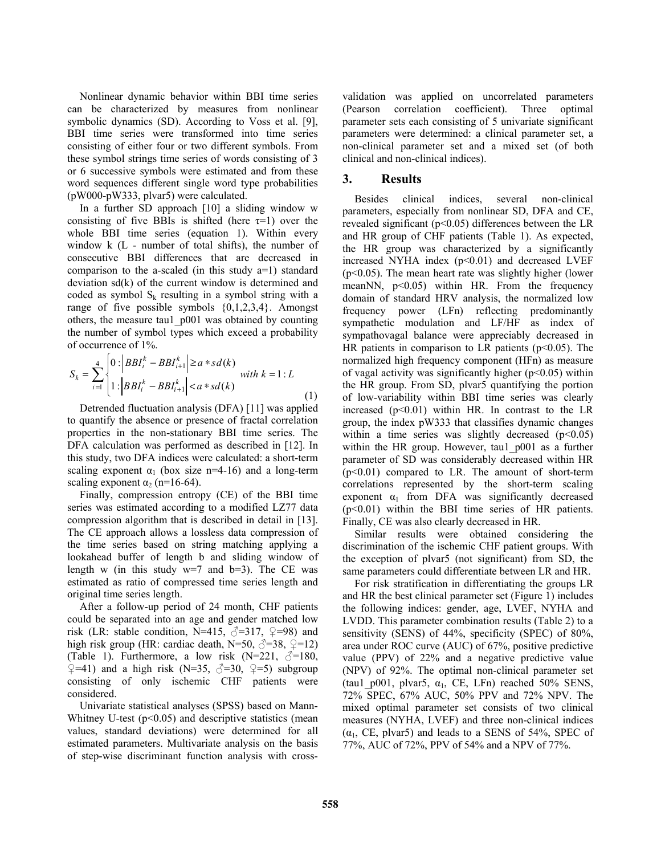Nonlinear dynamic behavior within BBI time series can be characterized by measures from nonlinear symbolic dynamics (SD). According to Voss et al. [9], BBI time series were transformed into time series consisting of either four or two different symbols. From these symbol strings time series of words consisting of 3 or 6 successive symbols were estimated and from these word sequences different single word type probabilities (pW000-pW333, plvar5) were calculated.

In a further SD approach [10] a sliding window w consisting of five BBIs is shifted (here  $\tau=1$ ) over the whole BBI time series (equation 1). Within every window k (L - number of total shifts), the number of consecutive BBI differences that are decreased in comparison to the a-scaled (in this study a=1) standard deviation sd(k) of the current window is determined and coded as symbol  $S_k$  resulting in a symbol string with a range of five possible symbols  $\{0,1,2,3,4\}$ . Amongst others, the measure tau1\_p001 was obtained by counting the number of symbol types which exceed a probability of occurrence of 1%.

$$
S_k = \sum_{i=1}^{4} \begin{cases} 0: |BBI_i^k - BBI_{i+1}^k| \ge a * sd(k) \\ 1: |BBI_i^k - BBI_{i+1}^k| < a * sd(k) \end{cases} with k = 1:L
$$
 (1)

Detrended fluctuation analysis (DFA) [11] was applied to quantify the absence or presence of fractal correlation properties in the non-stationary BBI time series. The DFA calculation was performed as described in [12]. In this study, two DFA indices were calculated: a short-term scaling exponent  $\alpha_1$  (box size n=4-16) and a long-term scaling exponent  $\alpha_2$  (n=16-64).

Finally, compression entropy (CE) of the BBI time series was estimated according to a modified LZ77 data compression algorithm that is described in detail in [13]. The CE approach allows a lossless data compression of the time series based on string matching applying a lookahead buffer of length b and sliding window of length w (in this study  $w=7$  and  $b=3$ ). The CE was estimated as ratio of compressed time series length and original time series length.

After a follow-up period of 24 month, CHF patients could be separated into an age and gender matched low risk (LR: stable condition, N=415,  $\sqrt{2}$ =317,  $\sqrt{2}$ =98) and high risk group (HR: cardiac death, N=50,  $\sqrt{2}$ =38,  $\sqrt{2}$ =12) (Table 1). Furthermore, a low risk  $(N=221, \, \text{m})=180$ ,  $\sqrt{2}$ =41) and a high risk (N=35,  $\sqrt{2}$ =30,  $\sqrt{2}$ =5) subgroup consisting of only ischemic CHF patients were considered.

Univariate statistical analyses (SPSS) based on Mann-Whitney U-test  $(p<0.05)$  and descriptive statistics (mean values, standard deviations) were determined for all estimated parameters. Multivariate analysis on the basis of step-wise discriminant function analysis with cross-

validation was applied on uncorrelated parameters (Pearson correlation coefficient). Three optimal parameter sets each consisting of 5 univariate significant parameters were determined: a clinical parameter set, a non-clinical parameter set and a mixed set (of both clinical and non-clinical indices).

# **3. Results**

Besides clinical indices, several non-clinical parameters, especially from nonlinear SD, DFA and CE, revealed significant ( $p<0.05$ ) differences between the LR and HR group of CHF patients (Table 1). As expected, the HR group was characterized by a significantly increased NYHA index  $(p<0.01)$  and decreased LVEF (p<0.05). The mean heart rate was slightly higher (lower meanNN,  $p<0.05$ ) within HR. From the frequency domain of standard HRV analysis, the normalized low frequency power (LFn) reflecting predominantly sympathetic modulation and LF/HF as index of sympathovagal balance were appreciably decreased in HR patients in comparison to LR patients ( $p<0.05$ ). The normalized high frequency component (HFn) as measure of vagal activity was significantly higher ( $p<0.05$ ) within the HR group. From SD, plvar5 quantifying the portion of low-variability within BBI time series was clearly increased  $(p<0.01)$  within HR. In contrast to the LR group, the index pW333 that classifies dynamic changes within a time series was slightly decreased  $(p<0.05)$ within the HR group. However, taul p001 as a further parameter of SD was considerably decreased within HR  $(p<0.01)$  compared to LR. The amount of short-term correlations represented by the short-term scaling exponent  $\alpha_1$  from DFA was significantly decreased (p<0.01) within the BBI time series of HR patients. Finally, CE was also clearly decreased in HR.

Similar results were obtained considering the discrimination of the ischemic CHF patient groups. With the exception of plvar5 (not significant) from SD, the same parameters could differentiate between LR and HR.

For risk stratification in differentiating the groups LR and HR the best clinical parameter set (Figure 1) includes the following indices: gender, age, LVEF, NYHA and LVDD. This parameter combination results (Table 2) to a sensitivity (SENS) of 44%, specificity (SPEC) of 80%, area under ROC curve (AUC) of 67%, positive predictive value (PPV) of 22% and a negative predictive value (NPV) of 92%. The optimal non-clinical parameter set (tau1 p001, plvar5,  $\alpha_1$ , CE, LFn) reached 50% SENS, 72% SPEC, 67% AUC, 50% PPV and 72% NPV. The mixed optimal parameter set consists of two clinical measures (NYHA, LVEF) and three non-clinical indices  $(\alpha_1, CE, p|var5)$  and leads to a SENS of 54%, SPEC of 77%, AUC of 72%, PPV of 54% and a NPV of 77%.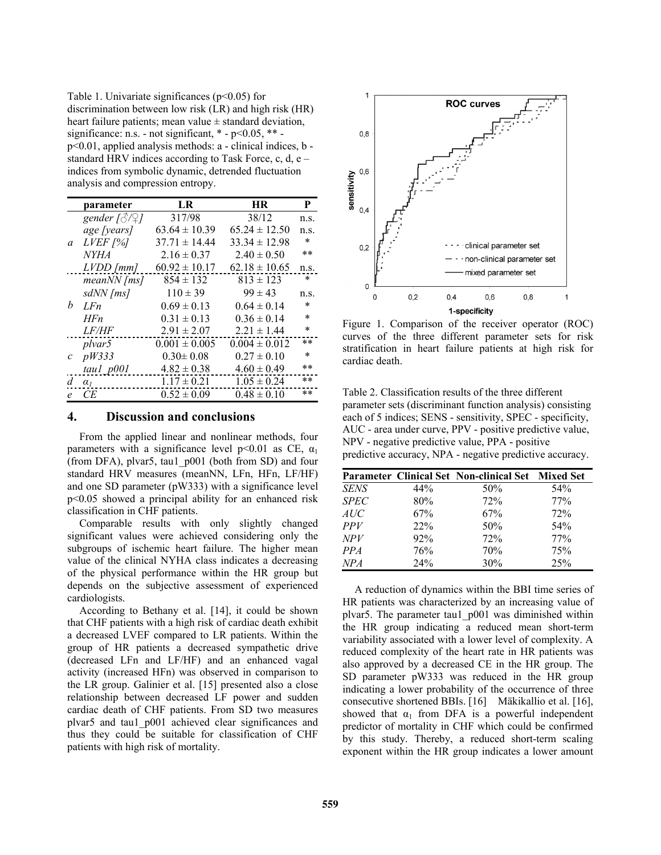Table 1. Univariate significances ( $p$ <0.05) for discrimination between low risk (LR) and high risk (HR) heart failure patients; mean value  $\pm$  standard deviation, significance: n.s. - not significant,  $*$  -  $p<0.05$ ,  $**$  p<0.01, applied analysis methods: a - clinical indices, b standard HRV indices according to Task Force, c, d, e – indices from symbolic dynamic, detrended fluctuation analysis and compression entropy.

|              | parameter                          | LR.               | <b>HR</b>         | P      |
|--------------|------------------------------------|-------------------|-------------------|--------|
| a            | gender $\lceil \sqrt[3]{2} \rceil$ | 317/98            | 38/12             | n.S.   |
|              | age [years]                        | $63.64 \pm 10.39$ | $65.24 \pm 12.50$ | n.s.   |
|              | $LVEF$ [%]                         | $37.71 \pm 14.44$ | $33.34 \pm 12.98$ | $\ast$ |
|              | <b>NYHA</b>                        | $2.16 \pm 0.37$   | $2.40 \pm 0.50$   | $**$   |
|              | $LVDD$ [ $mm$ ]                    | $60.92 \pm 10.17$ | $62.18 \pm 10.65$ | n.s.   |
| h            | $meanNN$ [ms]                      | $854 \pm 132$     | $813 \pm 123$     | $\ast$ |
|              | sdNN [ms]                          | $110 \pm 39$      | $99 \pm 43$       | n.S.   |
|              | LF <sub>n</sub>                    | $0.69 \pm 0.13$   | $0.64 \pm 0.14$   | $\ast$ |
|              | HFn                                | $0.31 \pm 0.13$   | $0.36 \pm 0.14$   | $\ast$ |
|              | <i>LF/HF</i>                       | $2.91 \pm 2.07$   | $2.21 \pm 1.44$   | $\ast$ |
| $\mathcal C$ | plvar5                             | $0.001 \pm 0.005$ | $0.004 \pm 0.012$ | **     |
|              | pW333                              | $0.30 \pm 0.08$   | $0.27 \pm 0.10$   | $\ast$ |
|              | taul p001                          | $4.82 \pm 0.38$   | $4.60 \pm 0.49$   | **     |
| d            | $\alpha_I$                         | $1.17 \pm 0.21$   | $1.05 \pm 0.24$   | **     |
| e            | СE                                 | $0.52 \pm 0.09$   | $0.48 \pm 0.10$   | **     |

### **4. Discussion and conclusions**

From the applied linear and nonlinear methods, four parameters with a significance level  $p<0.01$  as CE,  $\alpha_1$ (from DFA), plvar5, tau1\_p001 (both from SD) and four standard HRV measures (meanNN, LFn, HFn, LF/HF) and one SD parameter (pW333) with a significance level p<0.05 showed a principal ability for an enhanced risk classification in CHF patients.

Comparable results with only slightly changed significant values were achieved considering only the subgroups of ischemic heart failure. The higher mean value of the clinical NYHA class indicates a decreasing of the physical performance within the HR group but depends on the subjective assessment of experienced cardiologists.

According to Bethany et al. [14], it could be shown that CHF patients with a high risk of cardiac death exhibit a decreased LVEF compared to LR patients. Within the group of HR patients a decreased sympathetic drive (decreased LFn and LF/HF) and an enhanced vagal activity (increased HFn) was observed in comparison to the LR group. Galinier et al. [15] presented also a close relationship between decreased LF power and sudden cardiac death of CHF patients. From SD two measures plvar5 and tau1\_p001 achieved clear significances and thus they could be suitable for classification of CHF patients with high risk of mortality.



Figure 1. Comparison of the receiver operator (ROC) curves of the three different parameter sets for risk stratification in heart failure patients at high risk for cardiac death.

Table 2. Classification results of the three different parameter sets (discriminant function analysis) consisting each of 5 indices; SENS - sensitivity, SPEC - specificity, AUC - area under curve, PPV - positive predictive value, NPV - negative predictive value, PPA - positive predictive accuracy, NPA - negative predictive accuracy.

|             |     | Parameter Clinical Set Non-clinical Set Mixed Set |     |
|-------------|-----|---------------------------------------------------|-----|
| <b>SENS</b> | 44% | 50%                                               | 54% |
| <b>SPEC</b> | 80% | 72%                                               | 77% |
| AUC         | 67% | 67%                                               | 72% |
| <i>PPV</i>  | 22% | 50%                                               | 54% |
| <b>NPV</b>  | 92% | 72%                                               | 77% |
| PPA         | 76% | 70%                                               | 75% |
| NPA         | 24% | 30%                                               | 25% |

A reduction of dynamics within the BBI time series of HR patients was characterized by an increasing value of plvar5. The parameter tau1\_p001 was diminished within the HR group indicating a reduced mean short-term variability associated with a lower level of complexity. A reduced complexity of the heart rate in HR patients was also approved by a decreased CE in the HR group. The SD parameter pW333 was reduced in the HR group indicating a lower probability of the occurrence of three consecutive shortened BBIs. [16] Mäkikallio et al. [16], showed that  $\alpha_1$  from DFA is a powerful independent predictor of mortality in CHF which could be confirmed by this study. Thereby, a reduced short-term scaling exponent within the HR group indicates a lower amount